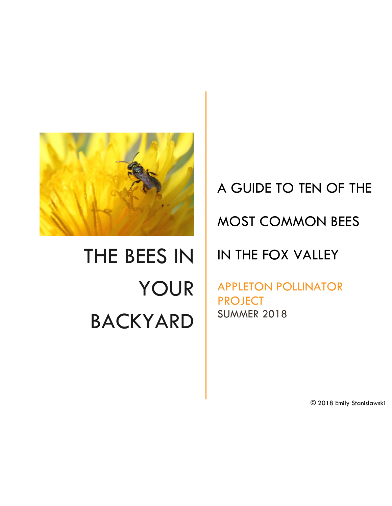

# THE BEES IN YOUR BACKYARD

## A GUIDE TO TEN OF THE

## MOST COMMON BEES

### IN THE FOX VALLEY

APPLETON POLLINATOR PROJECT SUMMER 2018

© 2018 Emily Stanislawski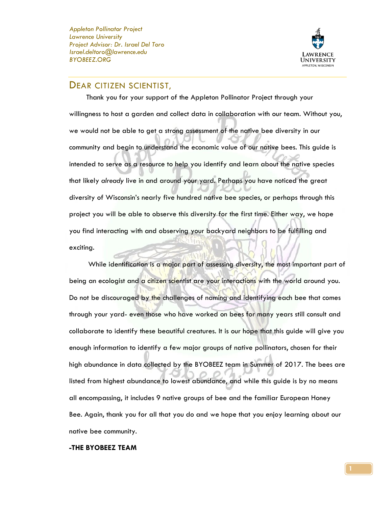*Appleton Pollinator Project Lawrence University Project Advisor: Dr. Israel Del Toro Israel.deltoro@lawrence.edu BYOBEEZ.ORG*



#### DEAR CITIZEN SCIENTIST,

 Thank you for your support of the Appleton Pollinator Project through your willingness to host a garden and collect data in collaboration with our team. Without you, we would not be able to get a strong assessment of the native bee diversity in our community and begin to understand the economic value of our native bees. This guide is intended to serve as a resource to help you identify and learn about the native species that likely *already* live in and around your yard. Perhaps you have noticed the great diversity of Wisconsin's nearly five hundred native bee species, or perhaps through this project you will be able to observe this diversity for the first time. Either way, we hope you find interacting with and observing your backyard neighbors to be fulfilling and exciting.

 While identification is a major part of assessing diversity, the most important part of being an ecologist and a citizen scientist are your interactions with the world around you. Do not be discouraged by the challenges of naming and identifying each bee that comes through your yard- even those who have worked on bees for many years still consult and collaborate to identify these beautiful creatures. It is our hope that this guide will give you enough information to identify a few major groups of native pollinators, chosen for their high abundance in data collected by the BYOBEEZ team in Summer of 2017. The bees are listed from highest abundance to lowest abundance, and while this guide is by no means all encompassing, it includes 9 native groups of bee and the familiar European Honey Bee. Again, thank you for all that you do and we hope that you enjoy learning about our native bee community.

#### **-THE BYOBEEZ TEAM**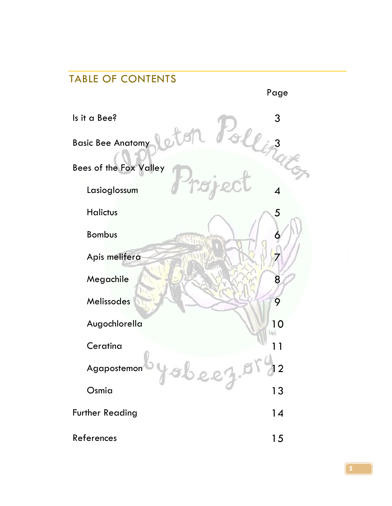## TABLE OF CONTENTS Page Is it a Bee? 3 Basic Bee Anatomy 3 2001 C 3 3 Bees of the Fox Valley Lasioglossum 4 Halictus 35 **Bombus**  Apis melifera 7 Megachile 8 Melissodes 11 May 2012 12:30 12:30 12:30 12:30 12:30 12:30 12:30 12:30 12:30 12:30 12:30 12:30 12:30 12:30 12:30 12:30 12:30 12:30 12:30 12:30 12:30 12:30 12:30 12:30 12:30 12:30 12:30 12:30 12:30 12:30 12:30 12:30 12:30 1 Augochlorella 10 Ceratina 11 Agapostemon 4 8 0 0 0 1 8 2 2 Osmia 13 Further Reading 14 References and the set of the set of the set of the set of the set of the set of the set of the set of the set of the set of the set of the set of the set of the set of the set of the set of the set of the set of the set o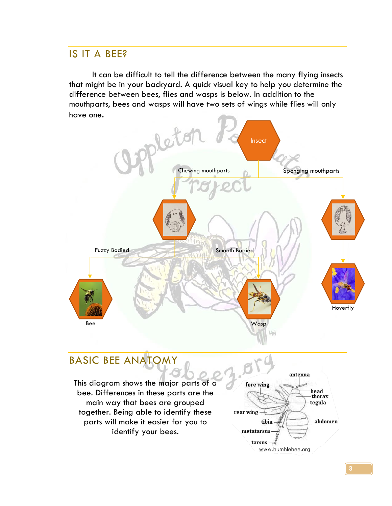#### IS IT A BEE?

It can be difficult to tell the difference between the many flying insects that might be in your backyard. A quick visual key to help you determine the difference between bees, flies and wasps is below. In addition to the mouthparts, bees and wasps will have two sets of wings while flies will only have one.

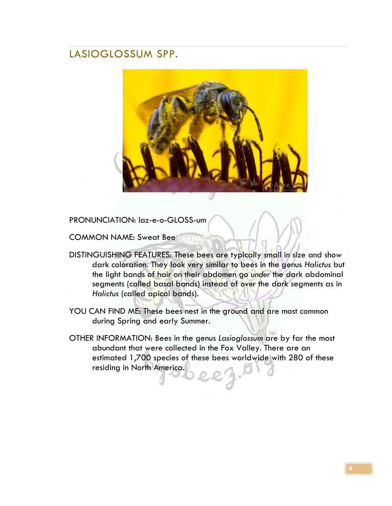#### LASIOGLOSSUM SPP.



PRONUNCIATION: laz-e-o-GLOSS-um

COMMON NAME: Sweat Bee **With** 

- DISTINGUISHING FEATURES: These bees are typically small in size and show dark coloration. They look very similar to bees in the genus *Halictus* but the light bands of hair on their abdomen go *under* the dark abdominal segments (called basal bands) instead of *over* the dark segments as in *Halictus* (called apical bands).
- YOU CAN FIND ME: These bees nest in the ground and are most common during Spring and early Summer.
- OTHER INFORMATION: Bees in the genus *Lasioglossum* are by far the most abundant that were collected in the Fox Valley. There are an estimated 1,700 species of these bees worldwide with 280 of these residing in North America.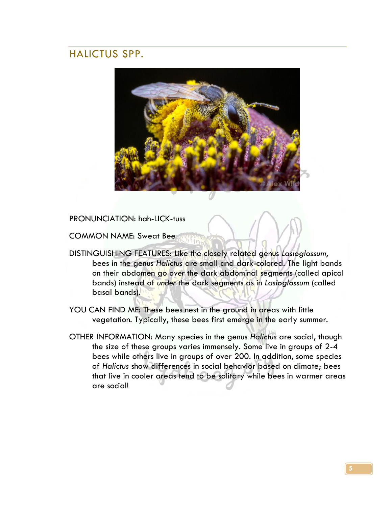#### HALICTUS SPP.



PRONUNCIATION: hah-LICK-tuss

COMMON NAME: Sweat Bee

- DISTINGUISHING FEATURES: Like the closely related genus *Lasioglossum*, bees in the genus *Halictus* are small and dark-colored. The light bands on their abdomen go *over* the dark abdominal segments (called apical bands) instead of *under* the dark segments as in *Lasioglossum* (called basal bands).
- YOU CAN FIND ME: These bees nest in the ground in areas with little vegetation. Typically, these bees first emerge in the early summer.
- OTHER INFORMATION: Many species in the genus *Halictus* are social, though the size of these groups varies immensely. Some live in groups of 2-4 bees while others live in groups of over 200. In addition, some species of *Halictus* show differences in social behavior based on climate; bees that live in cooler areas tend to be solitary while bees in warmer areas are social!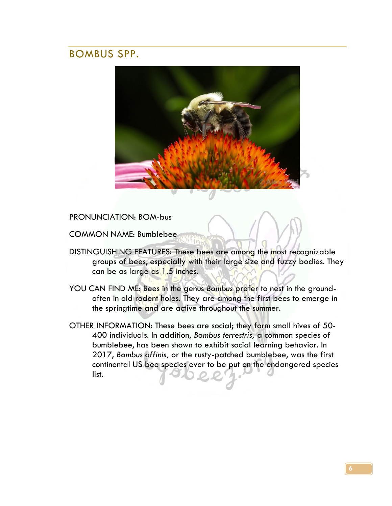#### BOMBUS SPP.



PRONUNCIATION: BOM-bus

COMMON NAME: Bumblebee

- DISTINGUISHING FEATURES: These bees are among the most recognizable groups of bees, especially with their large size and fuzzy bodies. They can be as large as 1.5 inches.
- YOU CAN FIND ME: Bees in the genus *Bombus* prefer to nest in the groundoften in old rodent holes. They are among the first bees to emerge in the springtime and are active throughout the summer.
- OTHER INFORMATION: These bees are social; they form small hives of 50- 400 individuals. In addition, *Bombus terrestris,* a common species of bumblebee, has been shown to exhibit social learning behavior. In 2017, *Bombus affinis,* or the rusty-patched bumblebee, was the first continental US bee species ever to be put on the endangered species list.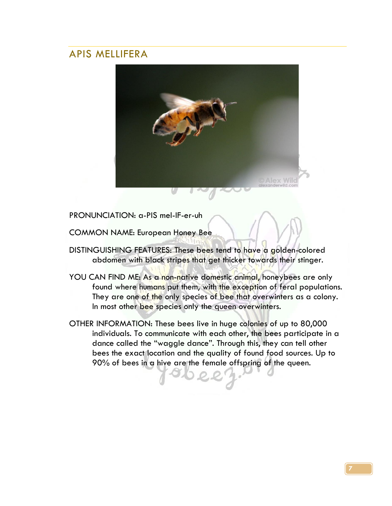#### APIS MELLIFERA



PRONUNCIATION: a-PIS mel-IF-er-uh

COMMON NAME: European Honey Bee

- DISTINGUISHING FEATURES: These bees tend to have a golden-colored abdomen with black stripes that get thicker towards their stinger.
- YOU CAN FIND ME: As a non-native domestic animal, honeybees are only found where humans put them, with the exception of feral populations. They are one of the only species of bee that overwinters as a colony. In most other bee species only the queen overwinters.
- OTHER INFORMATION: These bees live in huge colonies of up to 80,000 individuals. To communicate with each other, the bees participate in a dance called the "waggle dance". Through this, they can tell other bees the exact location and the quality of found food sources. Up to 90% of bees in a hive are the female offspring of the queen.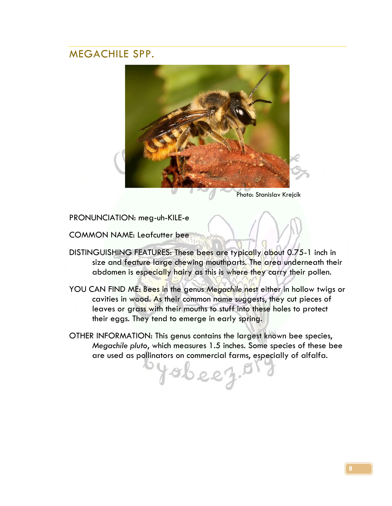#### MEGACHILE SPP.



Photo: Stanislav Krejcík

PRONUNCIATION: meg-uh-KILE-e

COMMON NAME: Leafcutter bee

- DISTINGUISHING FEATURES: These bees are typically about 0.75-1 inch in size and feature large chewing mouthparts. The area underneath their abdomen is especially hairy as this is where they carry their pollen.
- YOU CAN FIND ME: Bees in the genus *Megachile* nest either in hollow twigs or cavities in wood. As their common name suggests, they cut pieces of leaves or grass with their mouths to stuff into these holes to protect their eggs. They tend to emerge in early spring.
- OTHER INFORMATION: This genus contains the largest known bee species, *Megachile pluto*, which measures 1.5 inches. Some species of these bee are used as pollinators on commercial farms, especially of alfalfa.

sbeez.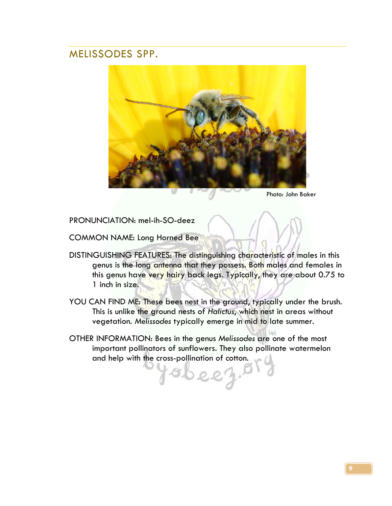#### MELISSODES SPP.



Photo: John Baker

PRONUNCIATION: mel-ih-SO-deez

COMMON NAME: Long Horned Bee

- DISTINGUISHING FEATURES: The distinguishing characteristic of males in this genus is the long antenna that they possess. Both males and females in this genus have very hairy back legs. Typically, they are about 0.75 to 1 inch in size.
- YOU CAN FIND ME: These bees nest in the ground, typically under the brush. This is unlike the ground nests of *Halictus*, which nest in areas without vegetation. *Melissodes* typically emerge in mid to late summer.
- OTHER INFORMATION: Bees in the genus *Melissodes* are one of the most important pollinators of sunflowers. They also pollinate watermelon and help with the cross-pollination of cotton.

beez.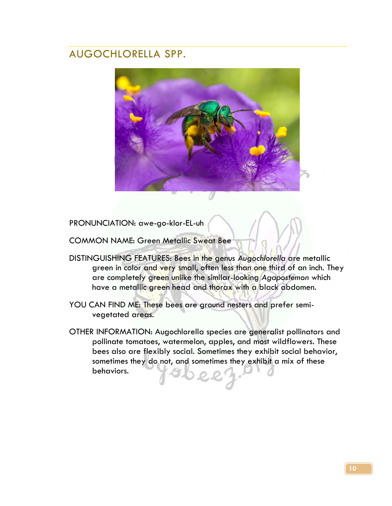#### AUGOCHLORELLA SPP.



PRONUNCIATION: awe-go-klor-EL-uh

COMMON NAME: Green Metallic Sweat Bee

- DISTINGUISHING FEATURES: Bees in the genus *Augochlorella* are metallic green in color and very small, often less than one third of an inch. They are completely green unlike the similar-looking *Agapostemon* which have a metallic green head and thorax with a black abdomen.
- YOU CAN FIND ME: These bees are ground nesters and prefer semivegetated areas.
- OTHER INFORMATION: Augochlorella species are generalist pollinators and pollinate tomatoes, watermelon, apples, and most wildflowers. These bees also are flexibly social. Sometimes they exhibit social behavior, sometimes they do not, and sometimes they exhibit a mix of these behaviors.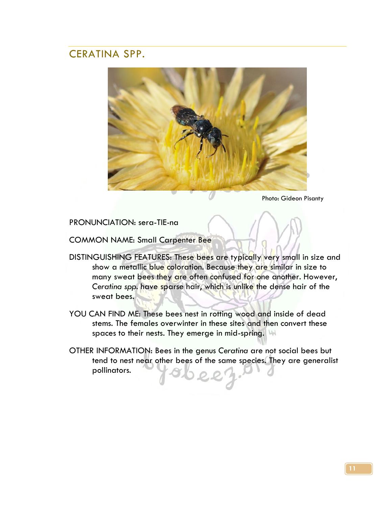#### CERATINA SPP.



Photo: Gideon Pisanty

PRONUNCIATION: sera-TIE-na

COMMON NAME: Small Carpenter Bee

- DISTINGUISHING FEATURES: These bees are typically very small in size and show a metallic blue coloration. Because they are similar in size to many sweat bees they are often confused for one another. However, *Ceratina spp.* have sparse hair, which is unlike the dense hair of the sweat bees.
- YOU CAN FIND ME: These bees nest in rotting wood and inside of dead stems. The females overwinter in these sites and then convert these spaces to their nests. They emerge in mid-spring.
- OTHER INFORMATION: Bees in the genus *Ceratina* are not social bees but tend to nest near other bees of the same species. They are generalist pollinators.  $22$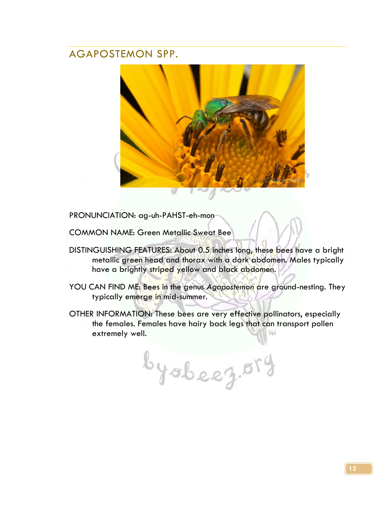#### AGAPOSTEMON SPP.



PRONUNCIATION: ag-uh-PAHST-eh-mon

COMMON NAME: Green Metallic Sweat Bee

- DISTINGUISHING FEATURES: About 0.5 inches long, these bees have a bright metallic green head and thorax with a dark abdomen. Males typically have a brightly striped yellow and black abdomen.
- YOU CAN FIND ME: Bees in the genus *Agapostemon* are ground-nesting. They typically emerge in mid-summer.
- OTHER INFORMATION: These bees are very effective pollinators, especially the females. Females have hairy back legs that can transport pollen extremely well. M

byobeez.05g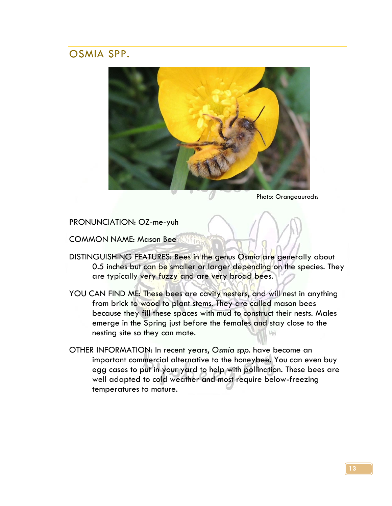#### OSMIA SPP.



Photo: Orangeaurochs

PRONUNCIATION: OZ-me-yuh

COMMON NAME: Mason Bee

DISTINGUISHING FEATURES: Bees in the genus *Osmia* are generally about 0.5 inches but can be smaller or larger depending on the species. They are typically very fuzzy and are very broad bees.

 $11v$ 

- YOU CAN FIND ME: These bees are cavity nesters, and will nest in anything from brick to wood to plant stems. They are called mason bees because they fill these spaces with mud to construct their nests. Males emerge in the Spring just before the females and stay close to the nesting site so they can mate.
- OTHER INFORMATION: In recent years, *Osmia spp.* have become an important commercial alternative to the honeybee. You can even buy egg cases to put in your yard to help with pollination. These bees are well adapted to cold weather and most require below-freezing temperatures to mature.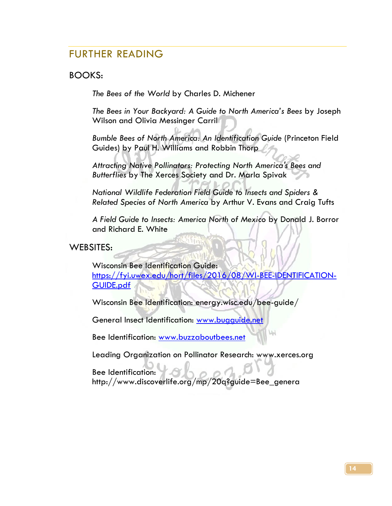#### FURTHER READING

#### BOOKS:

*The Bees of the World* by Charles D. Michener

*The Bees in Your Backyard: A Guide to North America's Bees* by Joseph Wilson and Olivia Messinger Carril

*Bumble Bees of North America: An Identification Guide* (Princeton Field Guides) by Paul H. Williams and Robbin Thorp

*Attracting Native Pollinators: Protecting North America's Bees and Butterflies* by The Xerces Society and Dr. Marla Spivak

*National Wildlife Federation Field Guide to Insects and Spiders & Related Species of North America* by Arthur V. Evans and Craig Tufts

*A Field Guide to Insects: America North of Mexico* by Donald J. Borror and Richard E. White

WEBSITES:

Wisconsin Bee Identification Guide: [https://fyi.uwex.edu/hort/files/2016/08/WI-BEE-IDENTIFICATION-](https://fyi.uwex.edu/hort/files/2016/08/WI-BEE-IDENTIFICATION-GUIDE.pdf)[GUIDE.pdf](https://fyi.uwex.edu/hort/files/2016/08/WI-BEE-IDENTIFICATION-GUIDE.pdf)

Wisconsin Bee Identification: energy.wisc.edu/bee-guide/

General Insect Identification: [www.bugguide.net](http://www.bugguide.net/)

Bee Identification: [www.buzzaboutbees.net](http://www.buzzaboutbees.net/)

Leading Organization on Pollinator Research: www.xerces.org

Bee Identification: http://www.discoverlife.org/mp/20q?guide=Bee\_genera